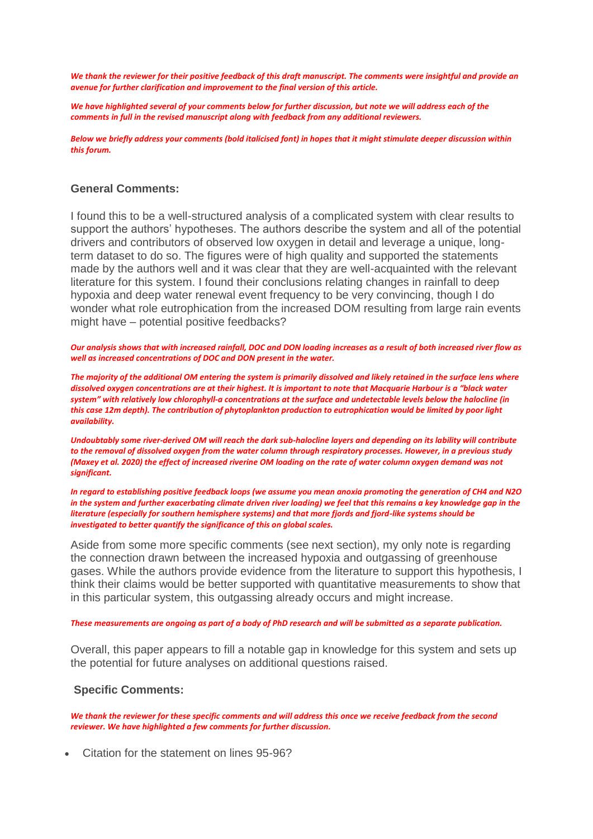*We thank the reviewer for their positive feedback of this draft manuscript. The comments were insightful and provide an avenue for further clarification and improvement to the final version of this article.*

*We have highlighted several of your comments below for further discussion, but note we will address each of the comments in full in the revised manuscript along with feedback from any additional reviewers.*

*Below we briefly address your comments (bold italicised font) in hopes that it might stimulate deeper discussion within this forum.* 

## **General Comments:**

I found this to be a well-structured analysis of a complicated system with clear results to support the authors' hypotheses. The authors describe the system and all of the potential drivers and contributors of observed low oxygen in detail and leverage a unique, longterm dataset to do so. The figures were of high quality and supported the statements made by the authors well and it was clear that they are well-acquainted with the relevant literature for this system. I found their conclusions relating changes in rainfall to deep hypoxia and deep water renewal event frequency to be very convincing, though I do wonder what role eutrophication from the increased DOM resulting from large rain events might have – potential positive feedbacks?

*Our analysis shows that with increased rainfall, DOC and DON loading increases as a result of both increased river flow as well as increased concentrations of DOC and DON present in the water.* 

*The majority of the additional OM entering the system is primarily dissolved and likely retained in the surface lens where dissolved oxygen concentrations are at their highest. It is important to note that Macquarie Harbour is a "black water system" with relatively low chlorophyll-a concentrations at the surface and undetectable levels below the halocline (in this case 12m depth). The contribution of phytoplankton production to eutrophication would be limited by poor light availability.*

*Undoubtably some river-derived OM will reach the dark sub-halocline layers and depending on its lability will contribute to the removal of dissolved oxygen from the water column through respiratory processes. However, in a previous study (Maxey et al. 2020) the effect of increased riverine OM loading on the rate of water column oxygen demand was not significant.* 

*In regard to establishing positive feedback loops (we assume you mean anoxia promoting the generation of CH4 and N2O in the system and further exacerbating climate driven river loading) we feel that this remains a key knowledge gap in the literature (especially for southern hemisphere systems) and that more fjords and fjord-like systems should be investigated to better quantify the significance of this on global scales.*

Aside from some more specific comments (see next section), my only note is regarding the connection drawn between the increased hypoxia and outgassing of greenhouse gases. While the authors provide evidence from the literature to support this hypothesis, I think their claims would be better supported with quantitative measurements to show that in this particular system, this outgassing already occurs and might increase.

#### *These measurements are ongoing as part of a body of PhD research and will be submitted as a separate publication.*

Overall, this paper appears to fill a notable gap in knowledge for this system and sets up the potential for future analyses on additional questions raised.

### **Specific Comments:**

We thank the reviewer for these specific comments and will address this once we receive feedback from the second *reviewer. We have highlighted a few comments for further discussion.*

• Citation for the statement on lines 95-96?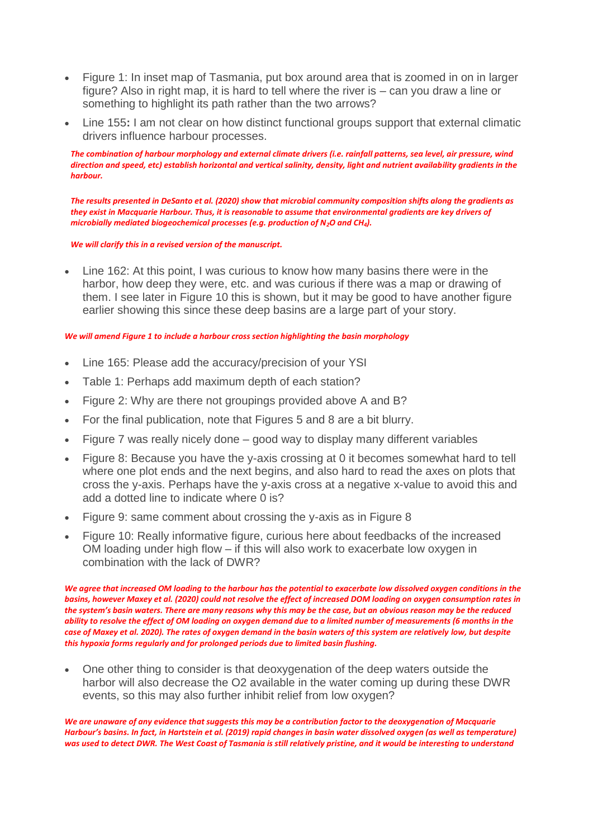- Figure 1: In inset map of Tasmania, put box around area that is zoomed in on in larger figure? Also in right map, it is hard to tell where the river is – can you draw a line or something to highlight its path rather than the two arrows?
- Line 155**:** I am not clear on how distinct functional groups support that external climatic drivers influence harbour processes.

*The combination of harbour morphology and external climate drivers (i.e. rainfall patterns, sea level, air pressure, wind direction and speed, etc) establish horizontal and vertical salinity, density, light and nutrient availability gradients in the harbour.* 

*The results presented in DeSanto et al. (2020) show that microbial community composition shifts along the gradients as they exist in Macquarie Harbour. Thus, it is reasonable to assume that environmental gradients are key drivers of microbially mediated biogeochemical processes (e.g. production of N2O and CH4).* 

*We will clarify this in a revised version of the manuscript.*

• Line 162: At this point, I was curious to know how many basins there were in the harbor, how deep they were, etc. and was curious if there was a map or drawing of them. I see later in Figure 10 this is shown, but it may be good to have another figure earlier showing this since these deep basins are a large part of your story.

### *We will amend Figure 1 to include a harbour cross section highlighting the basin morphology*

- Line 165: Please add the accuracy/precision of your YSI
- Table 1: Perhaps add maximum depth of each station?
- Figure 2: Why are there not groupings provided above A and B?
- For the final publication, note that Figures 5 and 8 are a bit blurry.
- Figure 7 was really nicely done good way to display many different variables
- Figure 8: Because you have the y-axis crossing at 0 it becomes somewhat hard to tell where one plot ends and the next begins, and also hard to read the axes on plots that cross the y-axis. Perhaps have the y-axis cross at a negative x-value to avoid this and add a dotted line to indicate where 0 is?
- Figure 9: same comment about crossing the y-axis as in Figure 8
- Figure 10: Really informative figure, curious here about feedbacks of the increased OM loading under high flow – if this will also work to exacerbate low oxygen in combination with the lack of DWR?

*We agree that increased OM loading to the harbour has the potential to exacerbate low dissolved oxygen conditions in the basins, however Maxey et al. (2020) could not resolve the effect of increased DOM loading on oxygen consumption rates in the system's basin waters. There are many reasons why this may be the case, but an obvious reason may be the reduced ability to resolve the effect of OM loading on oxygen demand due to a limited number of measurements (6 months in the case of Maxey et al. 2020). The rates of oxygen demand in the basin waters of this system are relatively low, but despite this hypoxia forms regularly and for prolonged periods due to limited basin flushing.*

• One other thing to consider is that deoxygenation of the deep waters outside the harbor will also decrease the O2 available in the water coming up during these DWR events, so this may also further inhibit relief from low oxygen?

*We are unaware of any evidence that suggests this may be a contribution factor to the deoxygenation of Macquarie Harbour's basins. In fact, in Hartstein et al. (2019) rapid changes in basin water dissolved oxygen (as well as temperature) was used to detect DWR. The West Coast of Tasmania is still relatively pristine, and it would be interesting to understand*